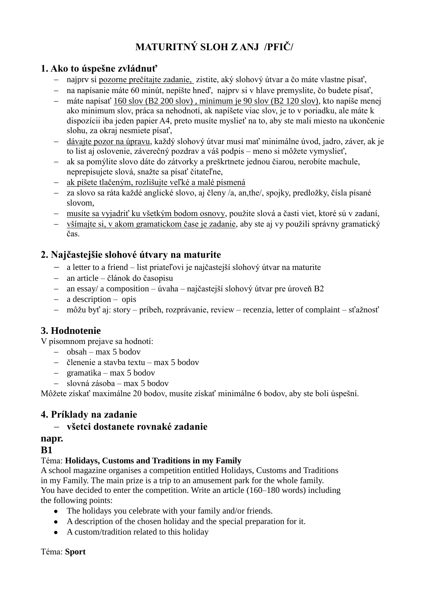# **MATURITNÝ SLOH Z ANJ /PFIČ/**

## **1. Ako to úspešne zvládnuť**

- najprv si pozorne prečítajte zadanie, zistite, aký slohový útvar a čo máte vlastne písať,
- na napísanie máte 60 minút, nepíšte hneď, najprv si v hlave premyslite, čo budete písať,
- máte napísať 160 slov (B2 200 slov) , minimum je 90 slov (B2 120 slov), kto napíše menej ako minimum slov, práca sa nehodnotí, ak napíšete viac slov, je to v poriadku, ale máte k dispozícii iba jeden papier A4, preto musíte myslieť na to, aby ste mali miesto na ukončenie slohu, za okraj nesmiete písať,
- dávajte pozor na úpravu, každý slohový útvar musí mať minimálne úvod, jadro, záver, ak je to list aj oslovenie, záverečný pozdrav a váš podpis – meno si môžete vymyslieť,
- ak sa pomýlite slovo dáte do zátvorky a preškrtnete jednou čiarou, nerobíte machule, neprepisujete slová, snažte sa písať čitateľne,
- ak píšete tlačeným, rozlišujte veľké a malé písmená
- za slovo sa ráta každé anglické slovo, aj členy /a, an,the/, spojky, predložky, čísla písané slovom,
- musíte sa vyjadriť ku všetkým bodom osnovy, použite slová a časti viet, ktoré sú v zadaní,
- všímajte si, v akom gramatickom čase je zadanie, aby ste aj vy použili správny gramatický čas.

## **2. Najčastejšie slohové útvary na maturite**

- a letter to a friend list priateľovi je najčastejší slohový útvar na maturite
- an article článok do časopisu
- $\alpha$  an essay/ a composition úvaha najčastejší slohový útvar pre úroveň B2
- a description opis
- môžu byť aj: story príbeh, rozprávanie, review recenzia, letter of complaint sťažnosť

# **3. Hodnotenie**

V písomnom prejave sa hodnotí:

- $-$  obsah max 5 bodov
- členenie a stavba textu max 5 bodov
- gramatika max 5 bodov
- slovná zásoba max 5 bodov

Môžete získať maximálne 20 bodov, musíte získať minimálne 6 bodov, aby ste boli úspešní.

## **4. Príklady na zadanie**

## **všetci dostanete rovnaké zadanie**

# **napr.**

## **B1**

### Téma: **Holidays, Customs and Traditions in my Family**

A school magazine organises a competition entitled Holidays, Customs and Traditions in my Family. The main prize is a trip to an amusement park for the whole family. You have decided to enter the competition. Write an article (160–180 words) including the following points:

- The holidays you celebrate with your family and/or friends.
- A description of the chosen holiday and the special preparation for it.
- A custom/tradition related to this holiday

#### Téma: **Sport**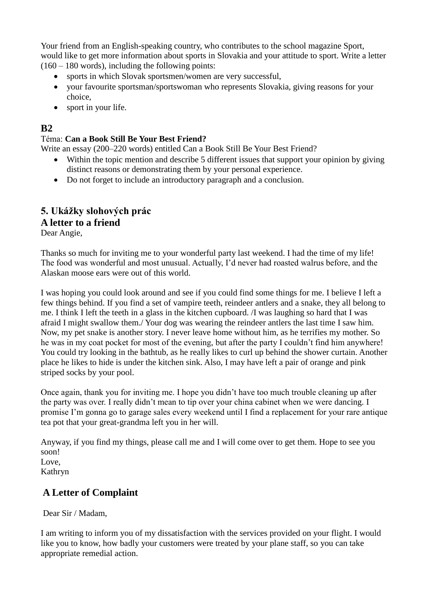Your friend from an English-speaking country, who contributes to the school magazine Sport, would like to get more information about sports in Slovakia and your attitude to sport. Write a letter  $(160 - 180$  words), including the following points:

- sports in which Slovak sportsmen/women are very successful,
- your favourite sportsman/sportswoman who represents Slovakia, giving reasons for your choice,
- sport in your life.

#### **B2**

#### Téma: **Can a Book Still Be Your Best Friend?**

Write an essay (200–220 words) entitled Can a Book Still Be Your Best Friend?

- Within the topic mention and describe 5 different issues that support your opinion by giving distinct reasons or demonstrating them by your personal experience.
- Do not forget to include an introductory paragraph and a conclusion.

### **5. Ukážky slohových prác A letter to a friend**

Dear Angie,

Thanks so much for inviting me to your wonderful party last weekend. I had the time of my life! The food was wonderful and most unusual. Actually, I'd never had roasted walrus before, and the Alaskan moose ears were out of this world.

I was hoping you could look around and see if you could find some things for me. I believe I left a few things behind. If you find a set of vampire teeth, reindeer antlers and a snake, they all belong to me. I think I left the teeth in a glass in the kitchen cupboard. /I was laughing so hard that I was afraid I might swallow them./ Your dog was wearing the reindeer antlers the last time I saw him. Now, my pet snake is another story. I never leave home without him, as he terrifies my mother. So he was in my coat pocket for most of the evening, but after the party I couldn't find him anywhere! You could try looking in the bathtub, as he really likes to curl up behind the shower curtain. Another place he likes to hide is under the kitchen sink. Also, I may have left a pair of orange and pink striped socks by your pool.

Once again, thank you for inviting me. I hope you didn't have too much trouble cleaning up after the party was over. I really didn't mean to tip over your china cabinet when we were dancing. I promise I'm gonna go to garage sales every weekend until I find a replacement for your rare antique tea pot that your great-grandma left you in her will.

Anyway, if you find my things, please call me and I will come over to get them. Hope to see you soon! Love,

Kathryn

## **A Letter of Complaint**

Dear Sir / Madam,

I am writing to inform you of my dissatisfaction with the services provided on your flight. I would like you to know, how badly your customers were treated by your plane staff, so you can take appropriate remedial action.